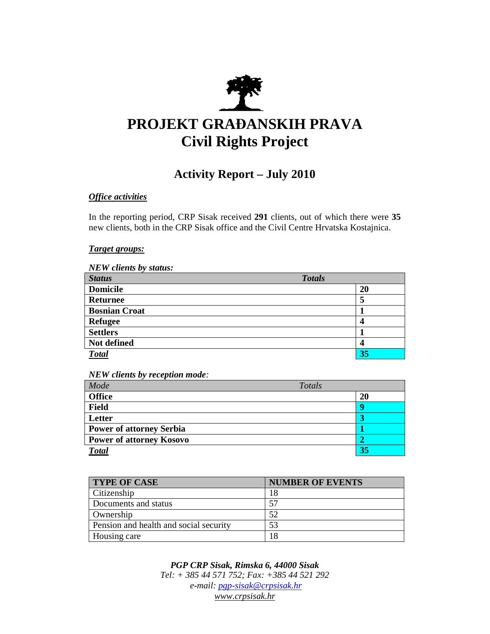

# **PROJEKT GRA**ð**ANSKIH PRAVA Civil Rights Project**

## **Activity Report – July 2010**

#### *Office activities*

In the reporting period, CRP Sisak received **291** clients, out of which there were **35**  new clients, both in the CRP Sisak office and the Civil Centre Hrvatska Kostajnica.

#### *Target groups:*

| <b>NEW clients by status:</b> |               |  |
|-------------------------------|---------------|--|
| <b>Status</b>                 | <b>Totals</b> |  |
| <b>Domicile</b>               | 20            |  |
| <b>Returnee</b>               | 5             |  |
| <b>Bosnian Croat</b>          |               |  |
| <b>Refugee</b>                | 4             |  |
| <b>Settlers</b>               |               |  |
| Not defined                   | 4             |  |
| <b>Total</b>                  | 35            |  |

*NEW clients by reception mode:* 

| Mode                            | Totals |
|---------------------------------|--------|
| <b>Office</b>                   | 20     |
| <b>Field</b>                    |        |
| Letter                          |        |
| <b>Power of attorney Serbia</b> |        |
| <b>Power of attorney Kosovo</b> |        |
| <b>Total</b>                    | 35     |

| <b>TYPE OF CASE</b>                    | <b>NUMBER OF EVENTS</b> |
|----------------------------------------|-------------------------|
| Citizenship                            | 18                      |
| Documents and status                   | 57                      |
| Ownership                              | 52                      |
| Pension and health and social security | 53                      |
| Housing care                           | 18                      |

*PGP CRP Sisak, Rimska 6, 44000 Sisak Tel: + 385 44 571 752; Fax: +385 44 521 292 e-mail: pgp-sisak@crpsisak.hr www.crpsisak.hr*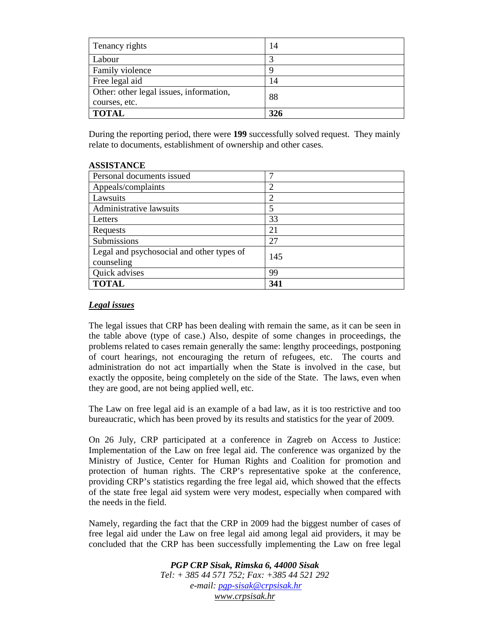| Tenancy rights                                           | 14  |
|----------------------------------------------------------|-----|
| Labour                                                   |     |
| Family violence                                          |     |
| Free legal aid                                           | 14  |
| Other: other legal issues, information,<br>courses, etc. | 88  |
| <b>TOTAL</b>                                             | 326 |

During the reporting period, there were **199** successfully solved request. They mainly relate to documents, establishment of ownership and other cases.

| ASSISTANUL                                              |     |
|---------------------------------------------------------|-----|
| Personal documents issued                               | ┑   |
| Appeals/complaints                                      | 2   |
| Lawsuits                                                | 2   |
| Administrative lawsuits                                 |     |
| Letters                                                 | 33  |
| Requests                                                | 21  |
| Submissions                                             | 27  |
| Legal and psychosocial and other types of<br>counseling | 145 |
| Quick advises                                           | 99  |
| <b>TOTAL</b>                                            | 341 |

### **ASSISTANCE**

#### *Legal issues*

The legal issues that CRP has been dealing with remain the same, as it can be seen in the table above (type of case.) Also, despite of some changes in proceedings, the problems related to cases remain generally the same: lengthy proceedings, postponing of court hearings, not encouraging the return of refugees, etc. The courts and administration do not act impartially when the State is involved in the case, but exactly the opposite, being completely on the side of the State. The laws, even when they are good, are not being applied well, etc.

The Law on free legal aid is an example of a bad law, as it is too restrictive and too bureaucratic, which has been proved by its results and statistics for the year of 2009.

On 26 July, CRP participated at a conference in Zagreb on Access to Justice: Implementation of the Law on free legal aid. The conference was organized by the Ministry of Justice, Center for Human Rights and Coalition for promotion and protection of human rights. The CRP's representative spoke at the conference, providing CRP's statistics regarding the free legal aid, which showed that the effects of the state free legal aid system were very modest, especially when compared with the needs in the field.

Namely, regarding the fact that the CRP in 2009 had the biggest number of cases of free legal aid under the Law on free legal aid among legal aid providers, it may be concluded that the CRP has been successfully implementing the Law on free legal

> *PGP CRP Sisak, Rimska 6, 44000 Sisak Tel: + 385 44 571 752; Fax: +385 44 521 292 e-mail: pgp-sisak@crpsisak.hr www.crpsisak.hr*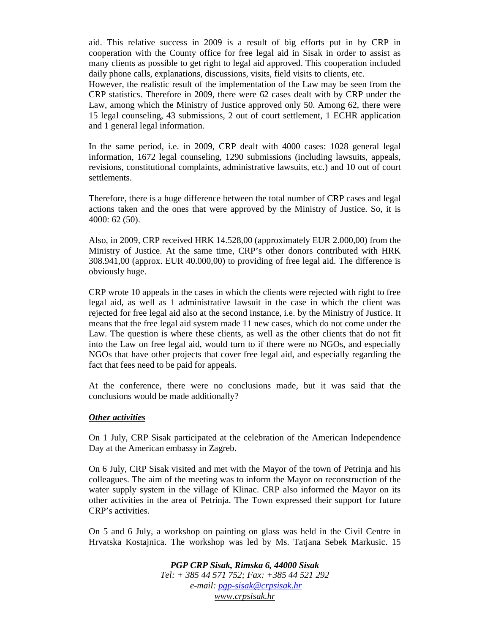aid. This relative success in 2009 is a result of big efforts put in by CRP in cooperation with the County office for free legal aid in Sisak in order to assist as many clients as possible to get right to legal aid approved. This cooperation included daily phone calls, explanations, discussions, visits, field visits to clients, etc.

However, the realistic result of the implementation of the Law may be seen from the CRP statistics. Therefore in 2009, there were 62 cases dealt with by CRP under the Law, among which the Ministry of Justice approved only 50. Among 62, there were 15 legal counseling, 43 submissions, 2 out of court settlement, 1 ECHR application and 1 general legal information.

In the same period, i.e. in 2009, CRP dealt with 4000 cases: 1028 general legal information, 1672 legal counseling, 1290 submissions (including lawsuits, appeals, revisions, constitutional complaints, administrative lawsuits, etc.) and 10 out of court settlements.

Therefore, there is a huge difference between the total number of CRP cases and legal actions taken and the ones that were approved by the Ministry of Justice. So, it is 4000: 62 (50).

Also, in 2009, CRP received HRK 14.528,00 (approximately EUR 2.000,00) from the Ministry of Justice. At the same time, CRP's other donors contributed with HRK 308.941,00 (approx. EUR 40.000,00) to providing of free legal aid. The difference is obviously huge.

CRP wrote 10 appeals in the cases in which the clients were rejected with right to free legal aid, as well as 1 administrative lawsuit in the case in which the client was rejected for free legal aid also at the second instance, i.e. by the Ministry of Justice. It means that the free legal aid system made 11 new cases, which do not come under the Law. The question is where these clients, as well as the other clients that do not fit into the Law on free legal aid, would turn to if there were no NGOs, and especially NGOs that have other projects that cover free legal aid, and especially regarding the fact that fees need to be paid for appeals.

At the conference, there were no conclusions made, but it was said that the conclusions would be made additionally?

#### *Other activities*

On 1 July, CRP Sisak participated at the celebration of the American Independence Day at the American embassy in Zagreb.

On 6 July, CRP Sisak visited and met with the Mayor of the town of Petrinja and his colleagues. The aim of the meeting was to inform the Mayor on reconstruction of the water supply system in the village of Klinac. CRP also informed the Mayor on its other activities in the area of Petrinja. The Town expressed their support for future CRP's activities.

On 5 and 6 July, a workshop on painting on glass was held in the Civil Centre in Hrvatska Kostajnica. The workshop was led by Ms. Tatjana Sebek Markusic. 15

> *PGP CRP Sisak, Rimska 6, 44000 Sisak Tel: + 385 44 571 752; Fax: +385 44 521 292 e-mail: pgp-sisak@crpsisak.hr www.crpsisak.hr*